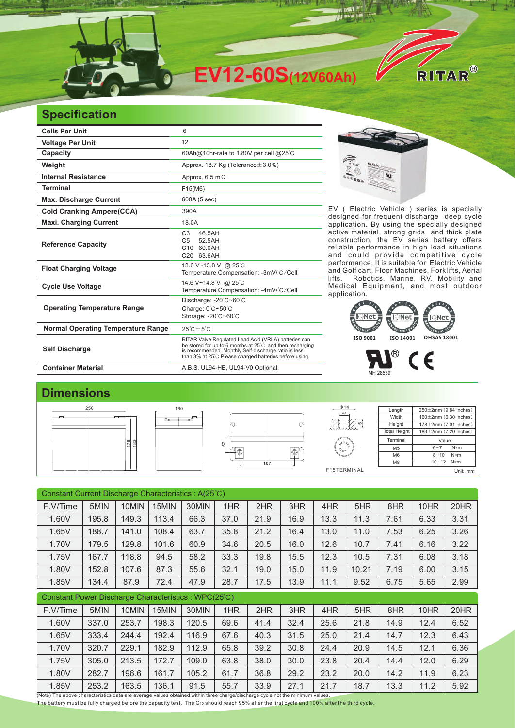

## **Specification**

| <b>Cells Per Unit</b>                     | 6                                                                                                                                                                                                                                   |  |  |  |  |  |
|-------------------------------------------|-------------------------------------------------------------------------------------------------------------------------------------------------------------------------------------------------------------------------------------|--|--|--|--|--|
| <b>Voltage Per Unit</b>                   | 12                                                                                                                                                                                                                                  |  |  |  |  |  |
| Capacity                                  | 60Ah@10hr-rate to 1.80V per cell @25°C                                                                                                                                                                                              |  |  |  |  |  |
| Weight                                    | Approx. 18.7 Kg (Tolerance $\pm$ 3.0%)                                                                                                                                                                                              |  |  |  |  |  |
| <b>Internal Resistance</b>                | Approx. $6.5 \text{ m}\Omega$                                                                                                                                                                                                       |  |  |  |  |  |
| <b>Terminal</b>                           | F15(M6)                                                                                                                                                                                                                             |  |  |  |  |  |
| <b>Max. Discharge Current</b>             | 600A (5 sec)                                                                                                                                                                                                                        |  |  |  |  |  |
| <b>Cold Cranking Ampere(CCA)</b>          | 390A                                                                                                                                                                                                                                |  |  |  |  |  |
| <b>Maxi. Charging Current</b>             | 18.0A                                                                                                                                                                                                                               |  |  |  |  |  |
| <b>Reference Capacity</b>                 | C <sub>3</sub><br>46.5AH<br>52.5AH<br>C <sub>5</sub><br>C10 60.0AH<br>C20 63.6AH                                                                                                                                                    |  |  |  |  |  |
| <b>Float Charging Voltage</b>             | 13.6 V~13.8 V @ 25°C<br>Temperature Compensation: -3mV/°C/Cell                                                                                                                                                                      |  |  |  |  |  |
| <b>Cycle Use Voltage</b>                  | 14.6 V~14.8 V @ 25°C<br>Temperature Compensation: -4mV/°C/Cell                                                                                                                                                                      |  |  |  |  |  |
| <b>Operating Temperature Range</b>        | Discharge: -20°C~60°C<br>Charge: 0°C~50°C<br>Storage: -20°C~60°C                                                                                                                                                                    |  |  |  |  |  |
| <b>Normal Operating Temperature Range</b> | $25^{\circ}$ C + 5 $^{\circ}$ C                                                                                                                                                                                                     |  |  |  |  |  |
| <b>Self Discharge</b>                     | RITAR Valve Regulated Lead Acid (VRLA) batteries can<br>be stored for up to 6 months at 25°C and then recharging<br>is recommended. Monthly Self-discharge ratio is less<br>than 3% at 25°C. Please charged batteries before using. |  |  |  |  |  |
| <b>Container Material</b>                 | A.B.S. UL94-HB, UL94-V0 Optional.                                                                                                                                                                                                   |  |  |  |  |  |



EV ( Electric Vehicle ) series is specially designed for frequent discharge deep cycle application. By using the specially designed active material, strong grids and thick plate construction, the EV series battery offers reliable performance in high load situations and could provide competitive cycle performance. It is suitable for Electric Vehicle and Golf cart, Floor Machines, Forklifts, Aerial<br>lifts, Robotics, Marine, RV, Mobility and Robotics, Marine, RV, Mobility and Medical Equipment, and most outdoor application.



 $\circledR$ 

MH 28539

## **Dimensions**



| Constant Current Discharge Characteristics: A(25°C)                                                                           |       |       |       |       |      |      |      |      |       |      |      |      |
|-------------------------------------------------------------------------------------------------------------------------------|-------|-------|-------|-------|------|------|------|------|-------|------|------|------|
| F.V/Time                                                                                                                      | 5MIN  | 10MIN | 15MIN | 30MIN | 1HR  | 2HR  | 3HR  | 4HR  | 5HR   | 8HR  | 10HR | 20HR |
| 1.60V                                                                                                                         | 195.8 | 149.3 | 113.4 | 66.3  | 37.0 | 21.9 | 16.9 | 13.3 | 11.3  | 7.61 | 6.33 | 3.31 |
| 1.65V                                                                                                                         | 188.7 | 141.0 | 108.4 | 63.7  | 35.8 | 21.2 | 16.4 | 13.0 | 11.0  | 7.53 | 6.25 | 3.26 |
| 1.70V                                                                                                                         | 179.5 | 129.8 | 101.6 | 60.9  | 34.6 | 20.5 | 16.0 | 12.6 | 10.7  | 7.41 | 6.16 | 3.22 |
| 1.75V                                                                                                                         | 167.7 | 118.8 | 94.5  | 58.2  | 33.3 | 19.8 | 15.5 | 12.3 | 10.5  | 7.31 | 6.08 | 3.18 |
| 1.80V                                                                                                                         | 152.8 | 107.6 | 87.3  | 55.6  | 32.1 | 19.0 | 15.0 | 11.9 | 10.21 | 7.19 | 6.00 | 3.15 |
| 1.85V                                                                                                                         | 134.4 | 87.9  | 72.4  | 47.9  | 28.7 | 17.5 | 13.9 | 11.1 | 9.52  | 6.75 | 5.65 | 2.99 |
| Constant Power Discharge Characteristics: WPC(25°C)                                                                           |       |       |       |       |      |      |      |      |       |      |      |      |
| F.V/Time                                                                                                                      | 5MIN  | 10MIN | 15MIN | 30MIN | 1HR  | 2HR  | 3HR  | 4HR  | 5HR   | 8HR  | 10HR | 20HR |
| 1.60V                                                                                                                         | 337.0 | 253.7 | 198.3 | 120.5 | 69.6 | 41.4 | 32.4 | 25.6 | 21.8  | 14.9 | 12.4 | 6.52 |
| 1.65V                                                                                                                         | 333.4 | 244.4 | 192.4 | 116.9 | 67.6 | 40.3 | 31.5 | 25.0 | 21.4  | 14.7 | 12.3 | 6.43 |
| 1.70V                                                                                                                         | 320.7 | 229.1 | 182.9 | 112.9 | 65.8 | 39.2 | 30.8 | 24.4 | 20.9  | 14.5 | 12.1 | 6.36 |
| 1.75V                                                                                                                         | 305.0 | 213.5 | 172.7 | 109.0 | 63.8 | 38.0 | 30.0 | 23.8 | 20.4  | 14.4 | 12.0 | 6.29 |
| 1.80V                                                                                                                         | 282.7 | 196.6 | 161.7 | 105.2 | 61.7 | 36.8 | 29.2 | 23.2 | 20.0  | 14.2 | 11.9 | 6.23 |
| 1.85V                                                                                                                         | 253.2 | 163.5 | 136.1 | 91.5  | 55.7 | 33.9 | 27.1 | 21.7 | 18.7  | 13.3 | 11.2 | 5.92 |
| (Note) The above characteristics data are average values obtained within three charge/discharge cycle not the minimum values. |       |       |       |       |      |      |      |      |       |      |      |      |

The battery must be fully charged before the capacity test. The C10 should reach 95% after the first cycle and 100% after the third cycle.